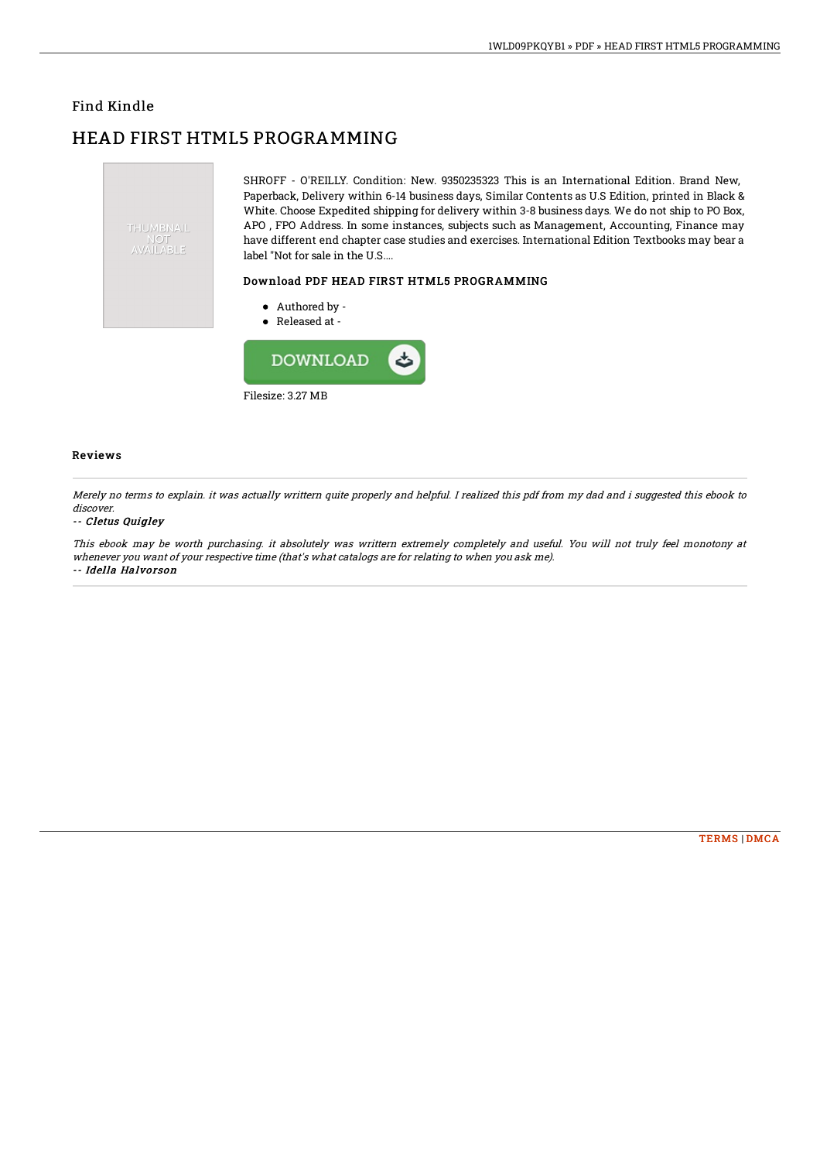### Find Kindle

# HEAD FIRST HTML5 PROGRAMMING



Filesize: 3.27 MB

#### Reviews

Merely no terms to explain. it was actually writtern quite properly and helpful. I realized this pdf from my dad and i suggested this ebook to discover.

#### -- Cletus Quigley

This ebook may be worth purchasing. it absolutely was writtern extremely completely and useful. You will not truly feel monotony at whenever you want of your respective time (that's what catalogs are for relating to when you ask me). -- Idella Halvorson